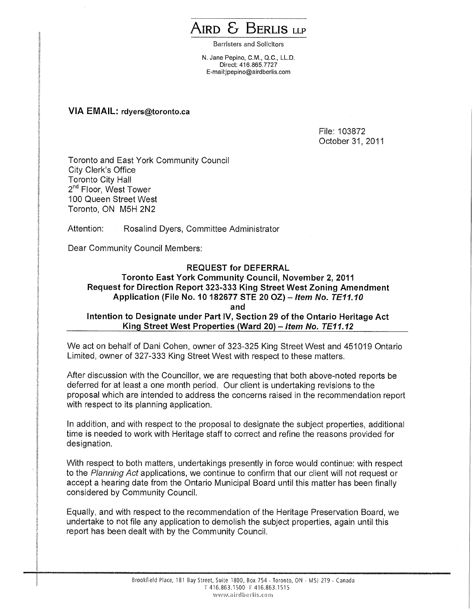## AIRD & BERLIS **LLP**

Barristers and Solicitors

N. Jane Pepino, C.M., Q.C., LL.D. Direct: 416.865.7727 E-mail:jpepino@airdberlis.com

## **VIA EMAIL: rdyers@toronto.ca**

File: 103872 October 31, 2011

Toronto and East York Community Council City Clerk's Office Toronto City Hall 2<sup>nd</sup> Floor, West Tower 100 Queen Street West Toronto, ON M5H 2N2

Attention: Rosalind Dyers, Committee Administrator

Dear Community Council Members:

## **REQUEST for DEFERRAL Toronto East York Community Council, November 2, 2011 • Request for Direction Report 323-333 King Street West Zoning Amendment Application (File No. 10 182677 STE 20 OZ)** — **Item No. TE11.10 and Intention to Designate under Part IV, Section 29 of the Ontario Heritage Act King Street West Properties (Ward 20)** — **Item No. TE11.12**

We act on behalf of Dani Cohen, owner of 323-325 King Street West and 451019 Ontario Limited, owner of 327-333 King Street West with respect to these matters.

After discussion with the Councillor, we are requesting that both above-noted reports be deferred for at least a one month period. Our client is undertaking revisions to the proposal which are intended to address the concerns raised in the recommendation report with respect to its planning application.

In addition, and with respect to the proposal to designate the subject properties, additional time is needed to work with Heritage staff to correct and refine the reasons provided for designation.

With respect to both matters, undertakings presently in force would continue: with respect to the Planning Act applications, we continue to confirm that our client will not request or accept a hearing date from the Ontario Municipal Board until this matter has been finally considered by Community Council.

Equally, and with respect to the recommendation of the Heritage Preservation Board, we undertake to not file any application to demolish the subject properties, again until this report has been dealt with by the Community Council.